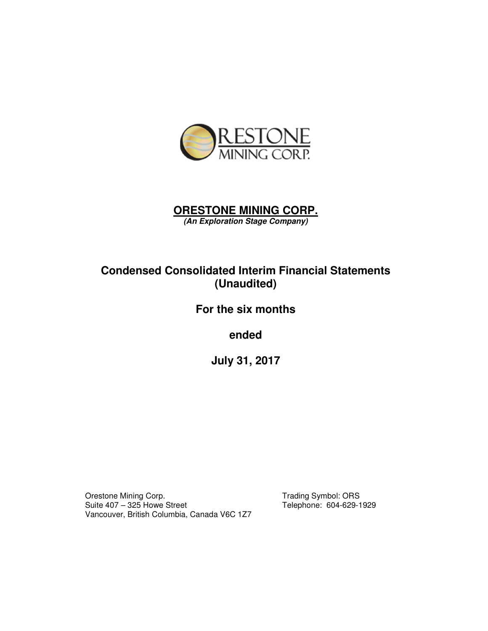

# **ORESTONE MINING CORP.**

**(An Exploration Stage Company)** 

# **Condensed Consolidated Interim Financial Statements (Unaudited)**

# **For the six months**

**ended** 

**July 31, 2017** 

Orestone Mining Corp.<br>
Suite 407 – 325 Howe Street Telephone: 604-629-1 Vancouver, British Columbia, Canada V6C 1Z7

Telephone: 604-629-1929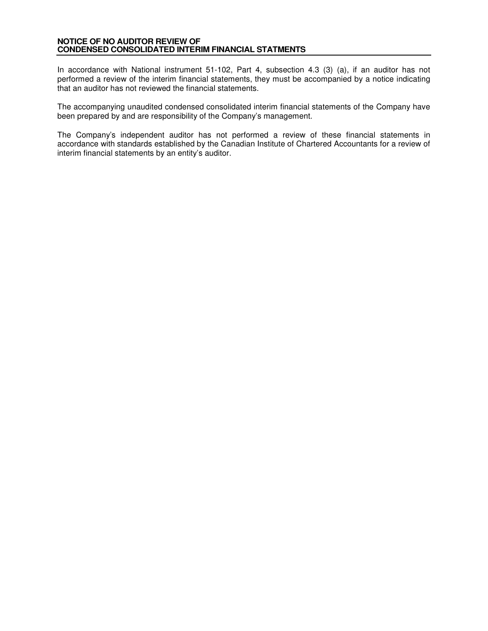#### **NOTICE OF NO AUDITOR REVIEW OF CONDENSED CONSOLIDATED INTERIM FINANCIAL STATMENTS**

In accordance with National instrument 51-102, Part 4, subsection 4.3 (3) (a), if an auditor has not performed a review of the interim financial statements, they must be accompanied by a notice indicating that an auditor has not reviewed the financial statements.

The accompanying unaudited condensed consolidated interim financial statements of the Company have been prepared by and are responsibility of the Company's management.

The Company's independent auditor has not performed a review of these financial statements in accordance with standards established by the Canadian Institute of Chartered Accountants for a review of interim financial statements by an entity's auditor.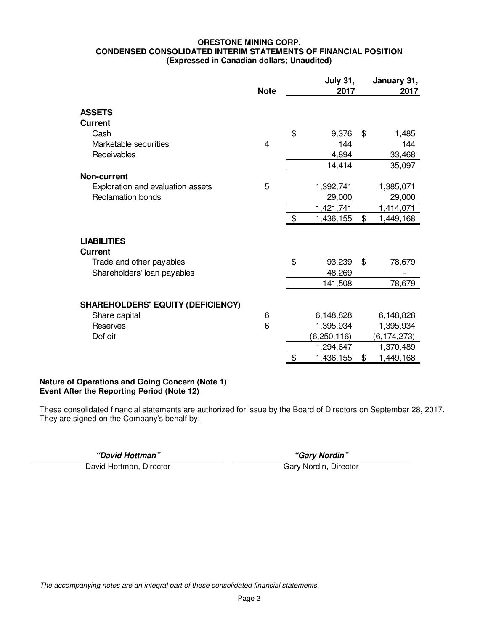#### **ORESTONE MINING CORP. CONDENSED CONSOLIDATED INTERIM STATEMENTS OF FINANCIAL POSITION (Expressed in Canadian dollars; Unaudited)**

|                                          |             | <b>July 31,</b> |               |    | January 31,   |
|------------------------------------------|-------------|-----------------|---------------|----|---------------|
|                                          | <b>Note</b> |                 | 2017          |    | 2017          |
| <b>ASSETS</b><br><b>Current</b>          |             |                 |               |    |               |
| Cash                                     |             | \$              | 9,376         | \$ | 1,485         |
| Marketable securities                    | 4           |                 | 144           |    | 144           |
| Receivables                              |             |                 | 4,894         |    | 33,468        |
|                                          |             |                 | 14,414        |    | 35,097        |
| <b>Non-current</b>                       |             |                 |               |    |               |
| Exploration and evaluation assets        | 5           |                 | 1,392,741     |    | 1,385,071     |
| <b>Reclamation bonds</b>                 |             |                 | 29,000        |    | 29,000        |
|                                          |             |                 | 1,421,741     |    | 1,414,071     |
|                                          |             | \$              | 1,436,155     | \$ | 1,449,168     |
| <b>LIABILITIES</b><br><b>Current</b>     |             |                 |               |    |               |
| Trade and other payables                 |             | \$              | 93,239        | \$ | 78,679        |
| Shareholders' loan payables              |             |                 | 48,269        |    |               |
|                                          |             |                 | 141,508       |    | 78,679        |
| <b>SHAREHOLDERS' EQUITY (DEFICIENCY)</b> |             |                 |               |    |               |
| Share capital                            | 6           |                 | 6,148,828     |    | 6,148,828     |
| Reserves                                 | 6           |                 | 1,395,934     |    | 1,395,934     |
| <b>Deficit</b>                           |             |                 | (6, 250, 116) |    | (6, 174, 273) |
|                                          |             |                 | 1,294,647     |    | 1,370,489     |
|                                          |             | \$              | 1,436,155     | \$ | 1,449,168     |

# **Nature of Operations and Going Concern (Note 1) Event After the Reporting Period (Note 12)**

These consolidated financial statements are authorized for issue by the Board of Directors on September 28, 2017. They are signed on the Company's behalf by:

**"David Hottman" "Gary Nordin"** 

David Hottman, Director Gary Nordin, Director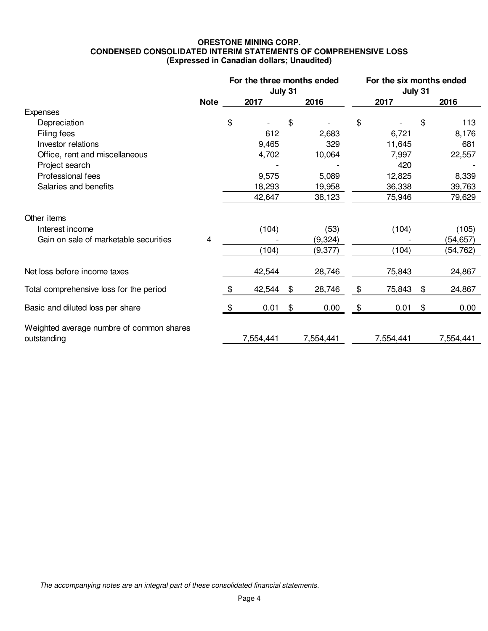#### **ORESTONE MINING CORP. CONDENSED CONSOLIDATED INTERIM STATEMENTS OF COMPREHENSIVE LOSS (Expressed in Canadian dollars; Unaudited)**

|                                                         |             |       | For the three months ended | July 31  |           | For the six months ended<br>July 31 |           |                |           |  |
|---------------------------------------------------------|-------------|-------|----------------------------|----------|-----------|-------------------------------------|-----------|----------------|-----------|--|
|                                                         | <b>Note</b> |       | 2017                       |          | 2016      |                                     | 2017      | 2016           |           |  |
| Expenses                                                |             |       |                            |          |           |                                     |           |                |           |  |
| Depreciation                                            |             | \$    |                            | \$       |           | \$                                  |           | \$             | 113       |  |
| Filing fees                                             |             |       | 612                        |          | 2,683     |                                     | 6,721     |                | 8,176     |  |
| Investor relations                                      |             |       | 9,465                      |          | 329       |                                     | 11,645    |                | 681       |  |
| Office, rent and miscellaneous                          |             |       | 4,702                      |          | 10,064    |                                     | 7,997     |                | 22,557    |  |
| Project search                                          |             |       |                            |          |           |                                     | 420       |                |           |  |
| Professional fees                                       |             |       | 9,575                      |          | 5,089     |                                     | 12,825    |                | 8,339     |  |
| Salaries and benefits                                   |             |       | 18,293                     |          | 19,958    |                                     | 36,338    |                |           |  |
|                                                         |             |       | 42,647                     |          | 38,123    |                                     | 75,946    | 79,629         |           |  |
| Other items                                             |             |       |                            |          |           |                                     |           |                |           |  |
| Interest income                                         |             |       | (104)                      |          | (53)      |                                     | (104)     |                | (105)     |  |
| Gain on sale of marketable securities                   | 4           |       |                            | (9, 324) |           |                                     |           | (54, 657)      |           |  |
|                                                         |             | (104) |                            |          | (9,377)   | (104)                               |           |                | (54, 762) |  |
| Net loss before income taxes                            |             |       | 42,544                     |          | 28,746    |                                     | 75,843    |                | 24,867    |  |
| Total comprehensive loss for the period                 |             | \$.   | 42,544                     | \$       | 28,746    | \$                                  | 75,843    | \$             | 24,867    |  |
| Basic and diluted loss per share                        |             | \$    | 0.01                       | \$       | 0.00      | \$                                  | 0.01      | $\mathfrak{S}$ | 0.00      |  |
| Weighted average numbre of common shares<br>outstanding |             |       | 7,554,441                  |          | 7,554,441 |                                     | 7,554,441 |                | 7,554,441 |  |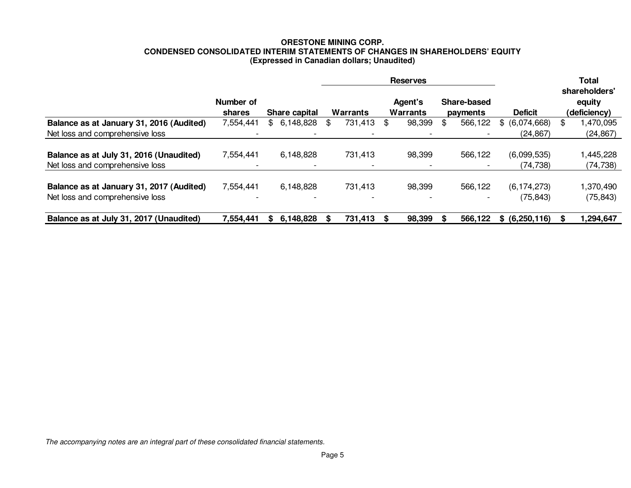# **ORESTONE MINING CORP. CONDENSED CONSOLIDATED INTERIM STATEMENTS OF CHANGES IN SHAREHOLDERS' EQUITY (Expressed in Canadian dollars; Unaudited)**

|                                          |                            |               |           |          |                          |                     | <b>Reserves</b> |                                | <b>Total</b>             |                |                                         |           |
|------------------------------------------|----------------------------|---------------|-----------|----------|--------------------------|---------------------|-----------------|--------------------------------|--------------------------|----------------|-----------------------------------------|-----------|
|                                          | Number of<br><b>shares</b> | Share capital |           | Warrants |                          | Agent's<br>Warrants |                 | <b>Share-based</b><br>payments |                          | <b>Deficit</b> | shareholders'<br>equity<br>(deficiency) |           |
| Balance as at January 31, 2016 (Audited) | 7,554,441                  | \$.           | 6,148,828 | \$       | 731,413                  | \$                  | 98,399          | \$                             | 566,122                  | \$ (6,074,668) | \$                                      | ,470,095  |
| Net loss and comprehensive loss          |                            |               |           |          |                          |                     |                 |                                |                          | (24, 867)      |                                         | (24, 867) |
| Balance as at July 31, 2016 (Unaudited)  | 7,554,441                  |               | 6,148,828 |          | 731,413                  |                     | 98,399          |                                | 566,122                  | (6,099,535)    |                                         | 445,228   |
| Net loss and comprehensive loss          |                            |               |           |          |                          |                     |                 |                                |                          | (74, 738)      |                                         | (74, 738) |
| Balance as at January 31, 2017 (Audited) | 7,554,441                  |               | 6,148,828 |          | 731,413                  |                     | 98,399          |                                | 566,122                  | (6, 174, 273)  |                                         | 1,370,490 |
| Net loss and comprehensive loss          | $\overline{\phantom{0}}$   |               |           |          | $\overline{\phantom{0}}$ |                     |                 |                                | $\overline{\phantom{0}}$ | (75, 843)      |                                         | (75, 843) |
| Balance as at July 31, 2017 (Unaudited)  | 7,554,441                  | S.            | 6,148,828 |          | 731,413                  |                     | 98,399          |                                | 566,122                  | \$ (6,250,116) |                                         | 1,294,647 |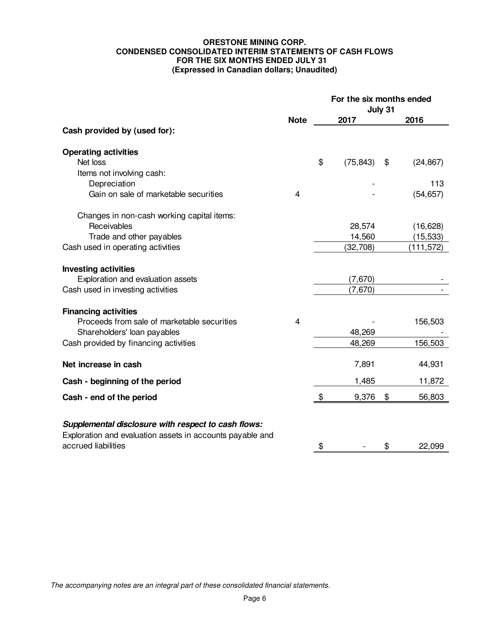#### **ORESTONE MINING CORP. CONDENSED CONSOLIDATED INTERIM STATEMENTS OF CASH FLOWS FOR THE SIX MONTHS ENDED JULY 31 (Expressed in Canadian dollars; Unaudited)**

|                                                                                                                  |             |               | For the six months ended<br>July 31 |    |            |  |  |  |  |
|------------------------------------------------------------------------------------------------------------------|-------------|---------------|-------------------------------------|----|------------|--|--|--|--|
|                                                                                                                  | <b>Note</b> |               | 2017                                |    | 2016       |  |  |  |  |
| Cash provided by (used for):                                                                                     |             |               |                                     |    |            |  |  |  |  |
| <b>Operating activities</b>                                                                                      |             |               |                                     |    |            |  |  |  |  |
| Net loss                                                                                                         |             | \$            | (75, 843)                           | \$ | (24, 867)  |  |  |  |  |
| Items not involving cash:                                                                                        |             |               |                                     |    |            |  |  |  |  |
| Depreciation                                                                                                     |             |               |                                     |    | 113        |  |  |  |  |
| Gain on sale of marketable securities                                                                            | 4           |               |                                     |    | (54, 657)  |  |  |  |  |
| Changes in non-cash working capital items:                                                                       |             |               |                                     |    |            |  |  |  |  |
| Receivables                                                                                                      |             |               | 28,574                              |    | (16, 628)  |  |  |  |  |
| Trade and other payables                                                                                         |             |               | 14,560                              |    | (15, 533)  |  |  |  |  |
| Cash used in operating activities                                                                                |             |               | (32, 708)                           |    | (111, 572) |  |  |  |  |
| <b>Investing activities</b>                                                                                      |             |               |                                     |    |            |  |  |  |  |
| Exploration and evaluation assets                                                                                |             |               | (7,670)                             |    |            |  |  |  |  |
| Cash used in investing activities                                                                                |             |               | (7,670)                             |    |            |  |  |  |  |
| <b>Financing activities</b>                                                                                      |             |               |                                     |    |            |  |  |  |  |
| Proceeds from sale of marketable securities                                                                      | 4           |               |                                     |    | 156,503    |  |  |  |  |
| Shareholders' loan payables                                                                                      |             |               | 48,269                              |    |            |  |  |  |  |
| Cash provided by financing activities                                                                            |             |               | 48,269                              |    | 156,503    |  |  |  |  |
| Net increase in cash                                                                                             |             |               | 7,891                               |    | 44,931     |  |  |  |  |
| Cash - beginning of the period                                                                                   |             |               | 1,485                               |    | 11,872     |  |  |  |  |
| Cash - end of the period                                                                                         |             | $\frac{1}{2}$ | 9,376                               | \$ | 56,803     |  |  |  |  |
|                                                                                                                  |             |               |                                     |    |            |  |  |  |  |
| Supplemental disclosure with respect to cash flows:<br>Exploration and evaluation assets in accounts payable and |             |               |                                     |    |            |  |  |  |  |
| accrued liabilities                                                                                              |             | \$            |                                     | \$ | 22,099     |  |  |  |  |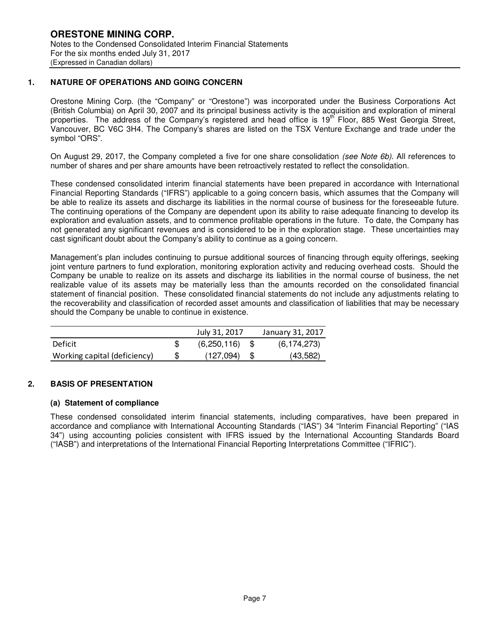# **1. NATURE OF OPERATIONS AND GOING CONCERN**

Orestone Mining Corp. (the "Company" or "Orestone") was incorporated under the Business Corporations Act (British Columbia) on April 30, 2007 and its principal business activity is the acquisition and exploration of mineral properties. The address of the Company's registered and head office is 19<sup>th</sup> Floor, 885 West Georgia Street, Vancouver, BC V6C 3H4. The Company's shares are listed on the TSX Venture Exchange and trade under the symbol "ORS".

On August 29, 2017, the Company completed a five for one share consolidation (see Note 6b). All references to number of shares and per share amounts have been retroactively restated to reflect the consolidation.

These condensed consolidated interim financial statements have been prepared in accordance with International Financial Reporting Standards ("IFRS") applicable to a going concern basis, which assumes that the Company will be able to realize its assets and discharge its liabilities in the normal course of business for the foreseeable future. The continuing operations of the Company are dependent upon its ability to raise adequate financing to develop its exploration and evaluation assets, and to commence profitable operations in the future. To date, the Company has not generated any significant revenues and is considered to be in the exploration stage. These uncertainties may cast significant doubt about the Company's ability to continue as a going concern.

Management's plan includes continuing to pursue additional sources of financing through equity offerings, seeking joint venture partners to fund exploration, monitoring exploration activity and reducing overhead costs. Should the Company be unable to realize on its assets and discharge its liabilities in the normal course of business, the net realizable value of its assets may be materially less than the amounts recorded on the consolidated financial statement of financial position. These consolidated financial statements do not include any adjustments relating to the recoverability and classification of recorded asset amounts and classification of liabilities that may be necessary should the Company be unable to continue in existence.

|                              | July 31, 2017 | January 31, 2017 |
|------------------------------|---------------|------------------|
| Deficit                      | (6,250,116)   | (6, 174, 273)    |
| Working capital (deficiency) | (127,094)     | (43,582)         |

#### **2. BASIS OF PRESENTATION**

#### **(a) Statement of compliance**

These condensed consolidated interim financial statements, including comparatives, have been prepared in accordance and compliance with International Accounting Standards ("IAS") 34 "Interim Financial Reporting" ("IAS 34") using accounting policies consistent with IFRS issued by the International Accounting Standards Board ("IASB") and interpretations of the International Financial Reporting Interpretations Committee ("IFRIC").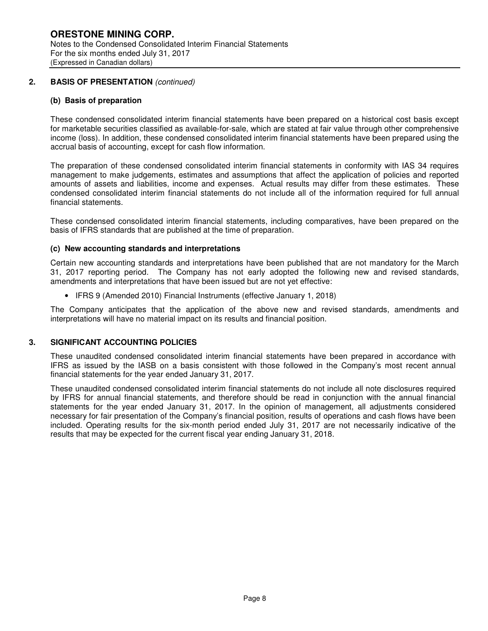# **2. BASIS OF PRESENTATION** (continued)

#### **(b) Basis of preparation**

These condensed consolidated interim financial statements have been prepared on a historical cost basis except for marketable securities classified as available-for-sale, which are stated at fair value through other comprehensive income (loss). In addition, these condensed consolidated interim financial statements have been prepared using the accrual basis of accounting, except for cash flow information.

The preparation of these condensed consolidated interim financial statements in conformity with IAS 34 requires management to make judgements, estimates and assumptions that affect the application of policies and reported amounts of assets and liabilities, income and expenses. Actual results may differ from these estimates. These condensed consolidated interim financial statements do not include all of the information required for full annual financial statements.

These condensed consolidated interim financial statements, including comparatives, have been prepared on the basis of IFRS standards that are published at the time of preparation.

#### **(c) New accounting standards and interpretations**

Certain new accounting standards and interpretations have been published that are not mandatory for the March 31, 2017 reporting period. The Company has not early adopted the following new and revised standards, amendments and interpretations that have been issued but are not yet effective:

• IFRS 9 (Amended 2010) Financial Instruments (effective January 1, 2018)

The Company anticipates that the application of the above new and revised standards, amendments and interpretations will have no material impact on its results and financial position.

#### **3. SIGNIFICANT ACCOUNTING POLICIES**

These unaudited condensed consolidated interim financial statements have been prepared in accordance with IFRS as issued by the IASB on a basis consistent with those followed in the Company's most recent annual financial statements for the year ended January 31, 2017.

These unaudited condensed consolidated interim financial statements do not include all note disclosures required by IFRS for annual financial statements, and therefore should be read in conjunction with the annual financial statements for the year ended January 31, 2017. In the opinion of management, all adjustments considered necessary for fair presentation of the Company's financial position, results of operations and cash flows have been included. Operating results for the six-month period ended July 31, 2017 are not necessarily indicative of the results that may be expected for the current fiscal year ending January 31, 2018.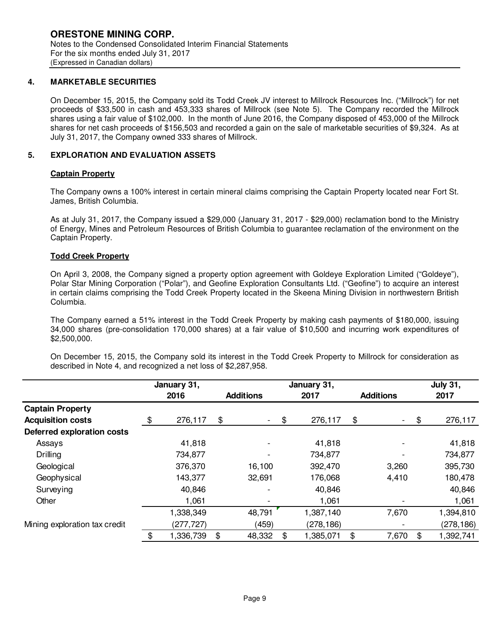### **4. MARKETABLE SECURITIES**

On December 15, 2015, the Company sold its Todd Creek JV interest to Millrock Resources Inc. ("Millrock") for net proceeds of \$33,500 in cash and 453,333 shares of Millrock (see Note 5). The Company recorded the Millrock shares using a fair value of \$102,000. In the month of June 2016, the Company disposed of 453,000 of the Millrock shares for net cash proceeds of \$156,503 and recorded a gain on the sale of marketable securities of \$9,324. As at July 31, 2017, the Company owned 333 shares of Millrock.

# **5. EXPLORATION AND EVALUATION ASSETS**

# **Captain Property**

The Company owns a 100% interest in certain mineral claims comprising the Captain Property located near Fort St. James, British Columbia.

As at July 31, 2017, the Company issued a \$29,000 (January 31, 2017 - \$29,000) reclamation bond to the Ministry of Energy, Mines and Petroleum Resources of British Columbia to guarantee reclamation of the environment on the Captain Property.

# **Todd Creek Property**

On April 3, 2008, the Company signed a property option agreement with Goldeye Exploration Limited ("Goldeye"), Polar Star Mining Corporation ("Polar"), and Geofine Exploration Consultants Ltd. ("Geofine") to acquire an interest in certain claims comprising the Todd Creek Property located in the Skeena Mining Division in northwestern British Columbia.

The Company earned a 51% interest in the Todd Creek Property by making cash payments of \$180,000, issuing 34,000 shares (pre-consolidation 170,000 shares) at a fair value of \$10,500 and incurring work expenditures of \$2,500,000.

On December 15, 2015, the Company sold its interest in the Todd Creek Property to Millrock for consideration as described in Note 4, and recognized a net loss of \$2,287,958.

|                                   |      | January 31, |               |                          |                 |                  | <b>July 31,</b>          |     |            |  |
|-----------------------------------|------|-------------|---------------|--------------------------|-----------------|------------------|--------------------------|-----|------------|--|
|                                   | 2016 |             |               | <b>Additions</b>         | 2017            | <b>Additions</b> |                          |     | 2017       |  |
| <b>Captain Property</b>           |      |             |               |                          |                 |                  |                          |     |            |  |
| <b>Acquisition costs</b>          | \$   | 276,117     | $\frac{1}{2}$ | $\overline{\phantom{a}}$ | \$<br>276,117   | \$               | $\overline{\phantom{a}}$ | \$  | 276,117    |  |
| <b>Deferred exploration costs</b> |      |             |               |                          |                 |                  |                          |     |            |  |
| Assays                            |      | 41,818      |               |                          | 41,818          |                  |                          |     | 41,818     |  |
| Drilling                          |      | 734,877     |               | $\overline{\phantom{0}}$ | 734,877         |                  |                          |     | 734,877    |  |
| Geological                        |      | 376,370     |               | 16,100                   | 392,470         |                  | 3,260                    |     | 395,730    |  |
| Geophysical                       |      | 143,377     |               | 32,691                   | 176,068         |                  | 4,410                    |     | 180,478    |  |
| Surveying                         |      | 40,846      |               | -                        | 40,846          |                  |                          |     | 40,846     |  |
| Other                             |      | 1,061       |               | -                        | 1,061           |                  |                          |     | 1,061      |  |
|                                   |      | 1,338,349   |               | 48,791                   | 1,387,140       |                  | 7,670                    |     | 1,394,810  |  |
| Mining exploration tax credit     |      | (277, 727)  |               | (459)                    | (278,186)       |                  | -                        |     | (278, 186) |  |
|                                   |      | 1,336,739   | \$            | 48,332                   | \$<br>1,385,071 | \$               | 7,670                    | \$. | 1,392,741  |  |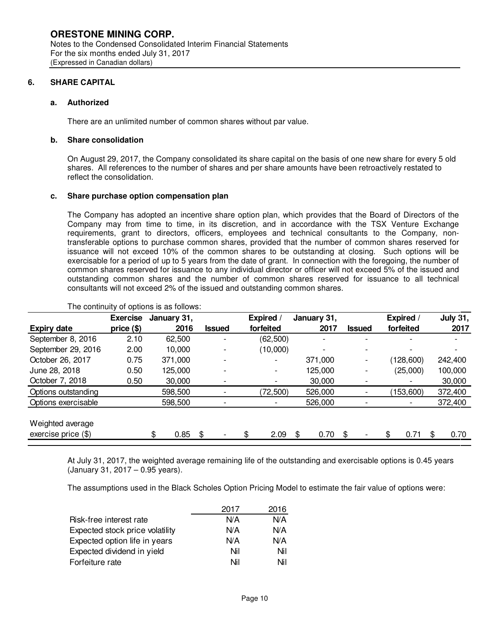### **6. SHARE CAPITAL**

#### **a. Authorized**

There are an unlimited number of common shares without par value.

# **b. Share consolidation**

On August 29, 2017, the Company consolidated its share capital on the basis of one new share for every 5 old shares. All references to the number of shares and per share amounts have been retroactively restated to reflect the consolidation.

#### **c. Share purchase option compensation plan**

The Company has adopted an incentive share option plan, which provides that the Board of Directors of the Company may from time to time, in its discretion, and in accordance with the TSX Venture Exchange requirements, grant to directors, officers, employees and technical consultants to the Company, nontransferable options to purchase common shares, provided that the number of common shares reserved for issuance will not exceed 10% of the common shares to be outstanding at closing. Such options will be exercisable for a period of up to 5 years from the date of grant. In connection with the foregoing, the number of common shares reserved for issuance to any individual director or officer will not exceed 5% of the issued and outstanding common shares and the number of common shares reserved for issuance to all technical consultants will not exceed 2% of the issued and outstanding common shares.

|                     | <b>Exercise</b> | January 31, |        | <b>Expired</b>           | January 31, |               | Expired /  | <b>July 31,</b> |
|---------------------|-----------------|-------------|--------|--------------------------|-------------|---------------|------------|-----------------|
| <b>Expiry date</b>  | price (\$)      | 2016        | Issued | forfeited                | 2017        | <b>Issued</b> | forfeited  | 2017            |
| September 8, 2016   | 2.10            | 62,500      |        | (62, 500)                |             |               |            |                 |
| September 29, 2016  | 2.00            | 10,000      |        | (10,000)                 |             |               |            |                 |
| October 26, 2017    | 0.75            | 371,000     |        | $\overline{\phantom{0}}$ | 371,000     |               | (128, 600) | 242,400         |
| June 28, 2018       | 0.50            | 125,000     |        |                          | 125,000     |               | (25,000)   | 100,000         |
| October 7, 2018     | 0.50            | 30,000      |        |                          | 30,000      |               |            | 30,000          |
| Options outstanding |                 | 598,500     |        | (72, 500)                | 526,000     |               | (153,600)  | 372,400         |
| Options exercisable |                 | 598,500     |        |                          | 526,000     |               | ۰.         | 372,400         |
|                     |                 |             |        |                          |             |               |            |                 |
| Weighted average    |                 |             |        |                          |             |               |            |                 |
| exercise price (\$) |                 | \$<br>0.85  | \$     | \$<br>2.09               | \$<br>0.70  | \$.           | \$<br>0.71 | \$<br>0.70      |

#### The continuity of options is as follows:

At July 31, 2017, the weighted average remaining life of the outstanding and exercisable options is 0.45 years (January 31, 2017 – 0.95 years).

The assumptions used in the Black Scholes Option Pricing Model to estimate the fair value of options were:

|                                 | 2017 | 2016 |
|---------------------------------|------|------|
| Risk-free interest rate         | N/A  | N/A  |
| Expected stock price volatility | N/A  | N/A  |
| Expected option life in years   | N/A  | N/A  |
| Expected dividend in yield      | Nil  | Nil  |
| Forfeiture rate                 | Nil  | Nil  |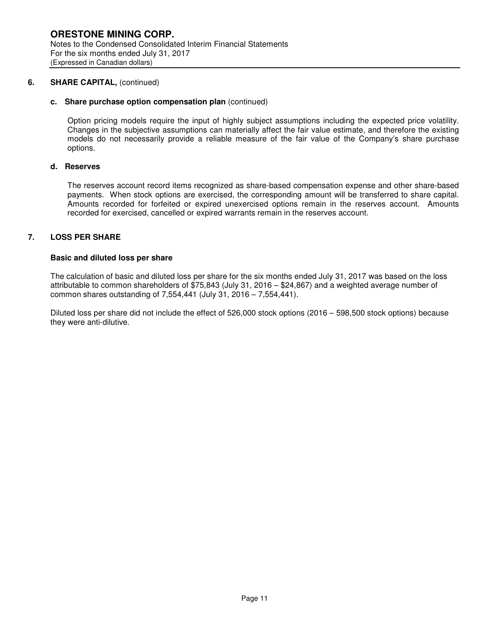#### **6. SHARE CAPITAL,** (continued)

#### **c. Share purchase option compensation plan** (continued)

Option pricing models require the input of highly subject assumptions including the expected price volatility. Changes in the subjective assumptions can materially affect the fair value estimate, and therefore the existing models do not necessarily provide a reliable measure of the fair value of the Company's share purchase options.

### **d. Reserves**

The reserves account record items recognized as share-based compensation expense and other share-based payments. When stock options are exercised, the corresponding amount will be transferred to share capital. Amounts recorded for forfeited or expired unexercised options remain in the reserves account. Amounts recorded for exercised, cancelled or expired warrants remain in the reserves account.

# **7. LOSS PER SHARE**

#### **Basic and diluted loss per share**

The calculation of basic and diluted loss per share for the six months ended July 31, 2017 was based on the loss attributable to common shareholders of \$75,843 (July 31, 2016 – \$24,867) and a weighted average number of common shares outstanding of 7,554,441 (July 31, 2016 – 7,554,441).

Diluted loss per share did not include the effect of 526,000 stock options (2016 – 598,500 stock options) because they were anti-dilutive.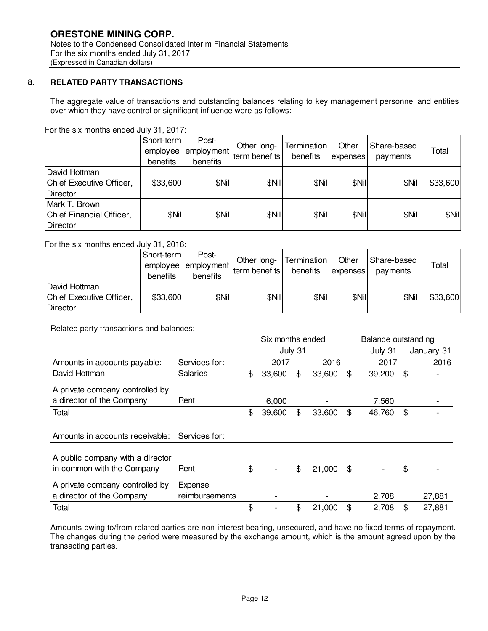# **8. RELATED PARTY TRANSACTIONS**

The aggregate value of transactions and outstanding balances relating to key management personnel and entities over which they have control or significant influence were as follows:

For the six months ended July 31, 2017:

|                                                       | Short-term<br>employee<br>benefits | Post-<br>employment<br>benefits | Other long-<br>term benefits | Termination<br>benefits | Other<br>expenses | Share-based<br>payments | Total    |
|-------------------------------------------------------|------------------------------------|---------------------------------|------------------------------|-------------------------|-------------------|-------------------------|----------|
| David Hottman<br>Chief Executive Officer,<br>Director | \$33,600                           | \$Nil                           | \$Nil                        | \$Nil                   | \$Nil             | \$Nil                   | \$33,600 |
| Mark T. Brown<br>Chief Financial Officer,<br>Director | \$Nil                              | \$Nil                           | \$Nil                        | \$Nil                   | \$Nil             | \$Nil                   | \$Nil    |

#### For the six months ended July 31, 2016:

|                                                       | Short-term<br>employee<br>benefits | Post-<br>lemployment<br>benefits | Other long-<br>term benefits | Termination <br>benefits | Other<br><b>Lexpenses</b> | Share-based<br>payments | Total    |
|-------------------------------------------------------|------------------------------------|----------------------------------|------------------------------|--------------------------|---------------------------|-------------------------|----------|
| David Hottman<br>Chief Executive Officer,<br>Director | \$33,600                           | \$Nil                            | \$Nil                        | \$Nil                    | \$Nil                     | \$Nil                   | \$33,600 |

Related party transactions and balances:

|                                                                |                           | Six months ended |        |         |        |    | Balance outstanding |    |            |
|----------------------------------------------------------------|---------------------------|------------------|--------|---------|--------|----|---------------------|----|------------|
|                                                                |                           |                  |        | July 31 |        |    | July 31             |    | January 31 |
| Amounts in accounts payable:                                   | Services for:             |                  | 2017   |         | 2016   |    | 2017                |    | 2016       |
| David Hottman                                                  | <b>Salaries</b>           | \$               | 33,600 | \$      | 33,600 | \$ | 39,200              | \$ |            |
| A private company controlled by                                |                           |                  |        |         |        |    |                     |    |            |
| a director of the Company                                      | Rent                      |                  | 6,000  |         |        |    | 7,560               |    |            |
| Total                                                          |                           | \$               | 39,600 | \$      | 33,600 | \$ | 46,760              | \$ |            |
|                                                                |                           |                  |        |         |        |    |                     |    |            |
| Amounts in accounts receivable:                                | Services for:             |                  |        |         |        |    |                     |    |            |
| A public company with a director<br>in common with the Company | Rent                      | \$               |        | \$      | 21,000 | \$ |                     | \$ |            |
| A private company controlled by<br>a director of the Company   | Expense<br>reimbursements |                  |        |         |        |    | 2,708               |    | 27,881     |
| Total                                                          |                           | \$               |        | \$      | 21,000 | \$ | 2,708               | \$ | 27,881     |

Amounts owing to/from related parties are non-interest bearing, unsecured, and have no fixed terms of repayment. The changes during the period were measured by the exchange amount, which is the amount agreed upon by the transacting parties.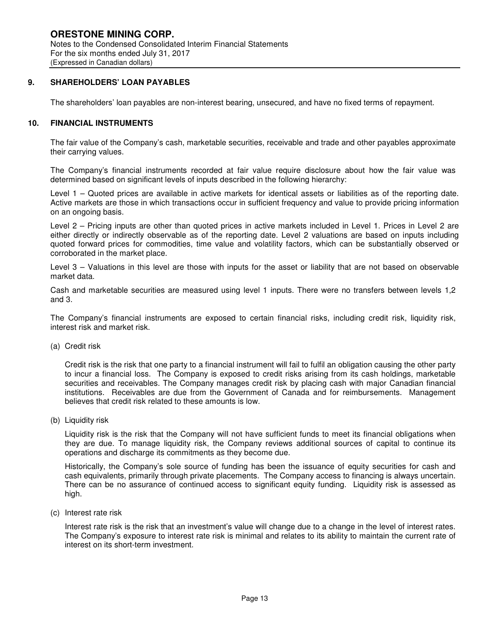#### **9. SHAREHOLDERS' LOAN PAYABLES**

The shareholders' loan payables are non-interest bearing, unsecured, and have no fixed terms of repayment.

# **10. FINANCIAL INSTRUMENTS**

The fair value of the Company's cash, marketable securities, receivable and trade and other payables approximate their carrying values.

The Company's financial instruments recorded at fair value require disclosure about how the fair value was determined based on significant levels of inputs described in the following hierarchy:

Level 1 – Quoted prices are available in active markets for identical assets or liabilities as of the reporting date. Active markets are those in which transactions occur in sufficient frequency and value to provide pricing information on an ongoing basis.

Level 2 – Pricing inputs are other than quoted prices in active markets included in Level 1. Prices in Level 2 are either directly or indirectly observable as of the reporting date. Level 2 valuations are based on inputs including quoted forward prices for commodities, time value and volatility factors, which can be substantially observed or corroborated in the market place.

Level 3 – Valuations in this level are those with inputs for the asset or liability that are not based on observable market data.

Cash and marketable securities are measured using level 1 inputs. There were no transfers between levels 1,2 and 3.

The Company's financial instruments are exposed to certain financial risks, including credit risk, liquidity risk, interest risk and market risk.

(a) Credit risk

Credit risk is the risk that one party to a financial instrument will fail to fulfil an obligation causing the other party to incur a financial loss. The Company is exposed to credit risks arising from its cash holdings, marketable securities and receivables. The Company manages credit risk by placing cash with major Canadian financial institutions. Receivables are due from the Government of Canada and for reimbursements. Management believes that credit risk related to these amounts is low.

(b) Liquidity risk

Liquidity risk is the risk that the Company will not have sufficient funds to meet its financial obligations when they are due. To manage liquidity risk, the Company reviews additional sources of capital to continue its operations and discharge its commitments as they become due.

Historically, the Company's sole source of funding has been the issuance of equity securities for cash and cash equivalents, primarily through private placements. The Company access to financing is always uncertain. There can be no assurance of continued access to significant equity funding. Liquidity risk is assessed as high.

(c) Interest rate risk

Interest rate risk is the risk that an investment's value will change due to a change in the level of interest rates. The Company's exposure to interest rate risk is minimal and relates to its ability to maintain the current rate of interest on its short-term investment.